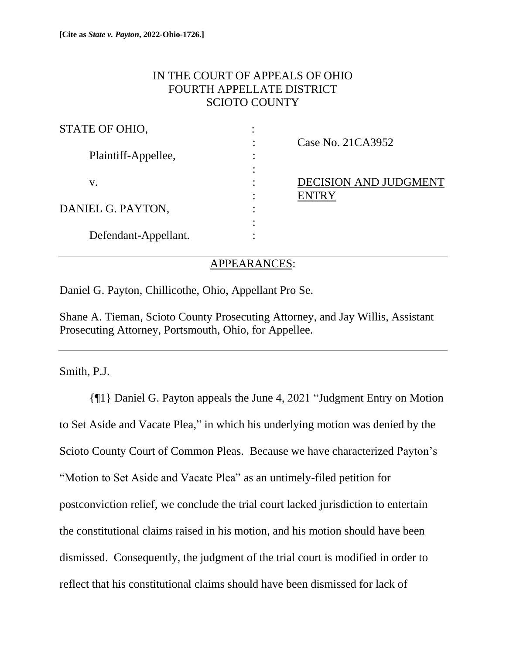# IN THE COURT OF APPEALS OF OHIO FOURTH APPELLATE DISTRICT SCIOTO COUNTY

| STATE OF OHIO,       |                              |
|----------------------|------------------------------|
|                      | Case No. 21CA3952            |
| Plaintiff-Appellee,  |                              |
|                      |                              |
| v.                   | <b>DECISION AND JUDGMENT</b> |
|                      | <b>ENTRY</b>                 |
| DANIEL G. PAYTON,    |                              |
|                      |                              |
| Defendant-Appellant. |                              |

## APPEARANCES:

Daniel G. Payton, Chillicothe, Ohio, Appellant Pro Se.

Shane A. Tieman, Scioto County Prosecuting Attorney, and Jay Willis, Assistant Prosecuting Attorney, Portsmouth, Ohio, for Appellee.

Smith, P.J.

{¶1} Daniel G. Payton appeals the June 4, 2021 "Judgment Entry on Motion to Set Aside and Vacate Plea," in which his underlying motion was denied by the Scioto County Court of Common Pleas. Because we have characterized Payton's "Motion to Set Aside and Vacate Plea" as an untimely-filed petition for postconviction relief, we conclude the trial court lacked jurisdiction to entertain the constitutional claims raised in his motion, and his motion should have been dismissed. Consequently, the judgment of the trial court is modified in order to reflect that his constitutional claims should have been dismissed for lack of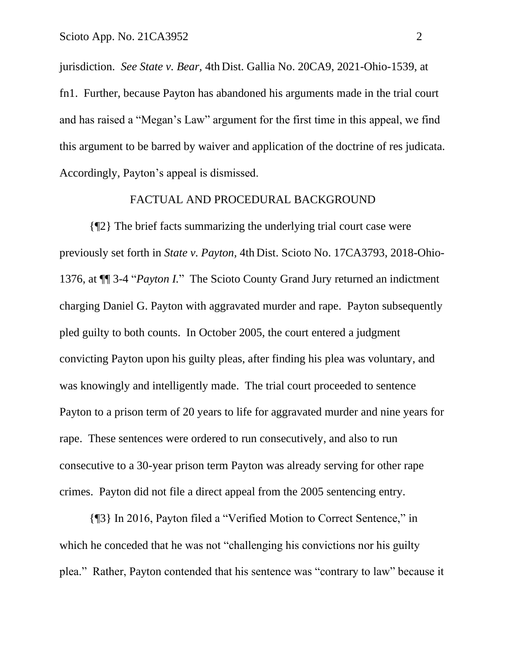jurisdiction. *See State v. Bear,* 4th Dist. Gallia No. 20CA9, 2021-Ohio-1539, at fn1. Further, because Payton has abandoned his arguments made in the trial court and has raised a "Megan's Law" argument for the first time in this appeal, we find this argument to be barred by waiver and application of the doctrine of res judicata. Accordingly, Payton's appeal is dismissed.

#### FACTUAL AND PROCEDURAL BACKGROUND

{¶2} The brief facts summarizing the underlying trial court case were previously set forth in *State v. Payton,* 4th Dist. Scioto No. 17CA3793, 2018-Ohio-1376, at ¶¶ 3-4 "*Payton I.*" The Scioto County Grand Jury returned an indictment charging Daniel G. Payton with aggravated murder and rape. Payton subsequently pled guilty to both counts. In October 2005, the court entered a judgment convicting Payton upon his guilty pleas, after finding his plea was voluntary, and was knowingly and intelligently made. The trial court proceeded to sentence Payton to a prison term of 20 years to life for aggravated murder and nine years for rape. These sentences were ordered to run consecutively, and also to run consecutive to a 30-year prison term Payton was already serving for other rape crimes. Payton did not file a direct appeal from the 2005 sentencing entry.

{¶3} In 2016, Payton filed a "Verified Motion to Correct Sentence," in which he conceded that he was not "challenging his convictions nor his guilty" plea." Rather, Payton contended that his sentence was "contrary to law" because it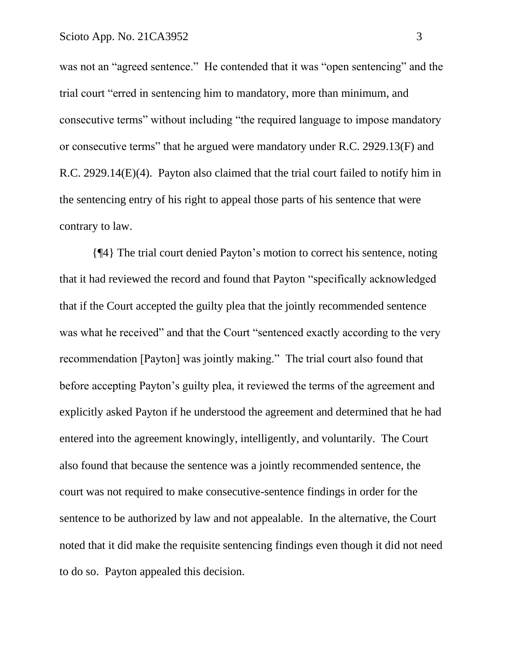was not an "agreed sentence." He contended that it was "open sentencing" and the trial court "erred in sentencing him to mandatory, more than minimum, and consecutive terms" without including "the required language to impose mandatory or consecutive terms" that he argued were mandatory under R.C. 2929.13(F) and R.C. 2929.14(E)(4). Payton also claimed that the trial court failed to notify him in the sentencing entry of his right to appeal those parts of his sentence that were contrary to law.

{¶4} The trial court denied Payton's motion to correct his sentence, noting that it had reviewed the record and found that Payton "specifically acknowledged that if the Court accepted the guilty plea that the jointly recommended sentence was what he received" and that the Court "sentenced exactly according to the very recommendation [Payton] was jointly making." The trial court also found that before accepting Payton's guilty plea, it reviewed the terms of the agreement and explicitly asked Payton if he understood the agreement and determined that he had entered into the agreement knowingly, intelligently, and voluntarily. The Court also found that because the sentence was a jointly recommended sentence, the court was not required to make consecutive-sentence findings in order for the sentence to be authorized by law and not appealable. In the alternative, the Court noted that it did make the requisite sentencing findings even though it did not need to do so. Payton appealed this decision.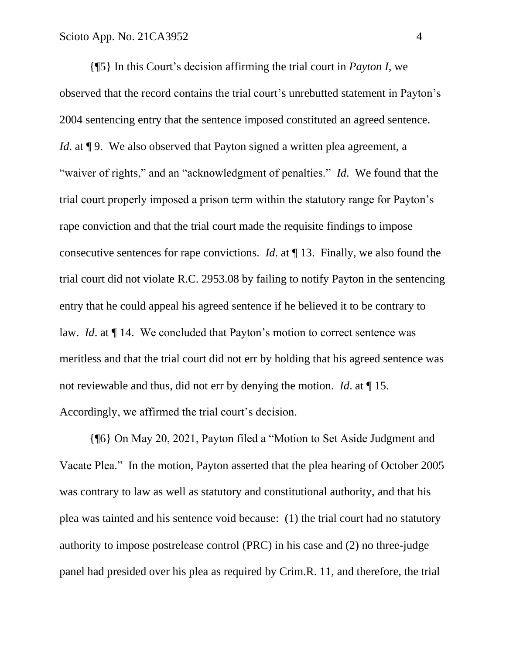{¶5} In this Court's decision affirming the trial court in *Payton I*, we observed that the record contains the trial court's unrebutted statement in Payton's 2004 sentencing entry that the sentence imposed constituted an agreed sentence. *Id.* at **[9.** We also observed that Payton signed a written plea agreement, a "waiver of rights," and an "acknowledgment of penalties." *Id*. We found that the trial court properly imposed a prison term within the statutory range for Payton's rape conviction and that the trial court made the requisite findings to impose consecutive sentences for rape convictions. *Id*. at ¶ 13. Finally, we also found the trial court did not violate R.C. 2953.08 by failing to notify Payton in the sentencing entry that he could appeal his agreed sentence if he believed it to be contrary to law. *Id*. at ¶ 14. We concluded that Payton's motion to correct sentence was meritless and that the trial court did not err by holding that his agreed sentence was not reviewable and thus, did not err by denying the motion. *Id*. at ¶ 15. Accordingly, we affirmed the trial court's decision.

{¶6} On May 20, 2021, Payton filed a "Motion to Set Aside Judgment and Vacate Plea." In the motion, Payton asserted that the plea hearing of October 2005 was contrary to law as well as statutory and constitutional authority, and that his plea was tainted and his sentence void because: (1) the trial court had no statutory authority to impose postrelease control (PRC) in his case and (2) no three-judge panel had presided over his plea as required by Crim.R. 11, and therefore, the trial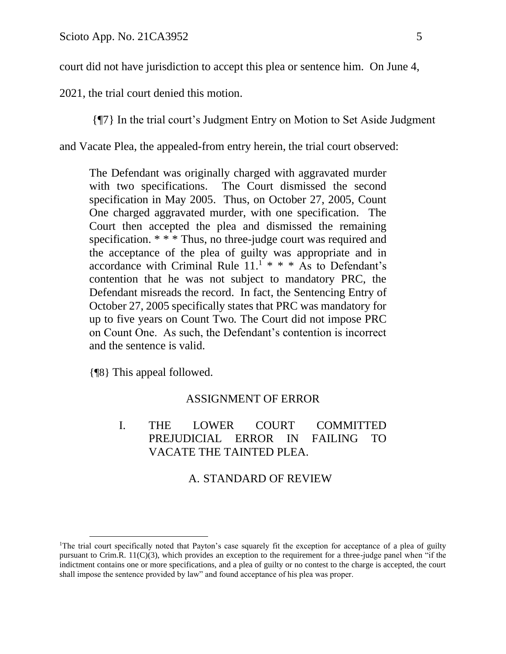court did not have jurisdiction to accept this plea or sentence him. On June 4,

2021, the trial court denied this motion.

{¶7} In the trial court's Judgment Entry on Motion to Set Aside Judgment

and Vacate Plea, the appealed-from entry herein, the trial court observed:

The Defendant was originally charged with aggravated murder with two specifications. The Court dismissed the second specification in May 2005. Thus, on October 27, 2005, Count One charged aggravated murder, with one specification. The Court then accepted the plea and dismissed the remaining specification. \* \* \* Thus, no three-judge court was required and the acceptance of the plea of guilty was appropriate and in accordance with Criminal Rule  $11.^1$  \* \* \* As to Defendant's contention that he was not subject to mandatory PRC, the Defendant misreads the record. In fact, the Sentencing Entry of October 27, 2005 specifically states that PRC was mandatory for up to five years on Count Two*.* The Court did not impose PRC on Count One. As such, the Defendant's contention is incorrect and the sentence is valid.

{¶8} This appeal followed.

## ASSIGNMENT OF ERROR

I. THE LOWER COURT COMMITTED PREJUDICIAL ERROR IN FAILING TO VACATE THE TAINTED PLEA.

# A. STANDARD OF REVIEW

<sup>&</sup>lt;sup>1</sup>The trial court specifically noted that Payton's case squarely fit the exception for acceptance of a plea of guilty pursuant to Crim.R.  $11(C)(3)$ , which provides an exception to the requirement for a three-judge panel when "if the indictment contains one or more specifications, and a plea of guilty or no contest to the charge is accepted, the court shall impose the sentence provided by law" and found acceptance of his plea was proper.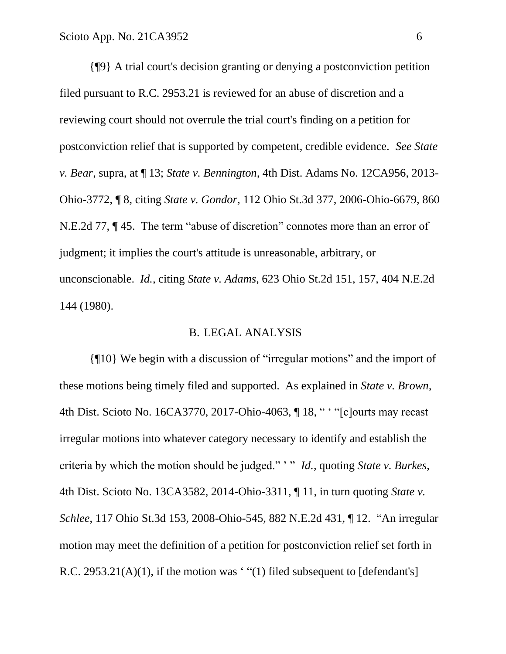{¶9} A trial court's decision granting or denying a postconviction petition filed pursuant to R.C. 2953.21 is reviewed for an abuse of discretion and a reviewing court should not overrule the trial court's finding on a petition for postconviction relief that is supported by competent, credible evidence. *See State v. Bear,* supra*,* at ¶ 13; *State v. Bennington,* 4th Dist. Adams No. 12CA956, 2013- Ohio-3772, ¶ 8, citing *State v. Gondor,* 112 Ohio St.3d 377, 2006-Ohio-6679, 860 N.E.2d 77, ¶ 45. The term "abuse of discretion" connotes more than an error of judgment; it implies the court's attitude is unreasonable, arbitrary, or unconscionable. *Id.,* citing *State v. Adams*, 623 Ohio St.2d 151, 157, 404 N.E.2d 144 (1980).

#### B. LEGAL ANALYSIS

{¶10} We begin with a discussion of "irregular motions" and the import of these motions being timely filed and supported. As explained in *State v. Brown,* 4th Dist. Scioto No. 16CA3770, 2017-Ohio-4063, ¶ 18, " ' "[c]ourts may recast irregular motions into whatever category necessary to identify and establish the criteria by which the motion should be judged." ' " *Id.,* quoting *State v. Burkes*, 4th Dist. Scioto No. 13CA3582, 2014-Ohio-3311, ¶ 11, in turn quoting *State v. Schlee*, 117 Ohio St.3d 153, 2008-Ohio-545, 882 N.E.2d 431, ¶ 12. "An irregular motion may meet the definition of a petition for postconviction relief set forth in R.C. 2953.21(A)(1), if the motion was ' "(1) filed subsequent to  $[defendant's]$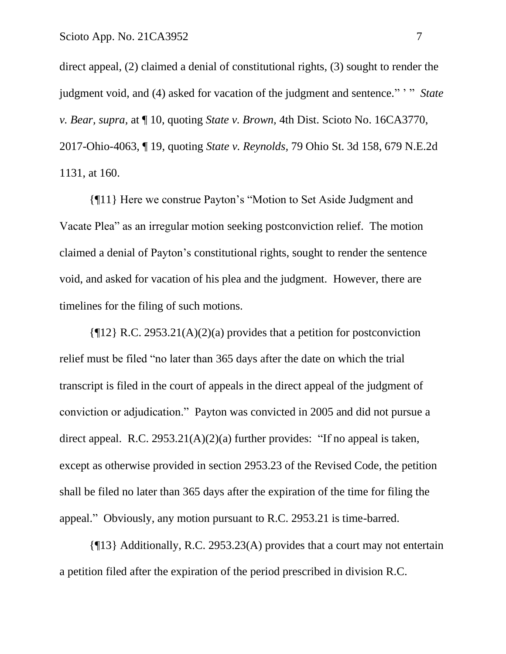direct appeal, (2) claimed a denial of constitutional rights, (3) sought to render the judgment void, and (4) asked for vacation of the judgment and sentence." ' " *State v. Bear, supra,* at ¶ 10, quoting *State v. Brown,* 4th Dist. Scioto No. 16CA3770, 2017-Ohio-4063, ¶ 19, quoting *State v. Reynolds,* 79 Ohio St. 3d 158, 679 N.E.2d 1131, at 160.

{¶11} Here we construe Payton's "Motion to Set Aside Judgment and Vacate Plea" as an irregular motion seeking postconviction relief. The motion claimed a denial of Payton's constitutional rights, sought to render the sentence void, and asked for vacation of his plea and the judgment. However, there are timelines for the filing of such motions.

 $\{\P12\}$  R.C. 2953.21(A)(2)(a) provides that a petition for postconviction relief must be filed "no later than 365 days after the date on which the trial transcript is filed in the court of appeals in the direct appeal of the judgment of conviction or adjudication." Payton was convicted in 2005 and did not pursue a direct appeal. R.C.  $2953.21(A)(2)(a)$  further provides: "If no appeal is taken, except as otherwise provided in section 2953.23 of the Revised Code, the petition shall be filed no later than 365 days after the expiration of the time for filing the appeal." Obviously, any motion pursuant to R.C. 2953.21 is time-barred.

{¶13} Additionally, R.C. 2953.23(A) provides that a court may not entertain a petition filed after the expiration of the period prescribed in division R.C.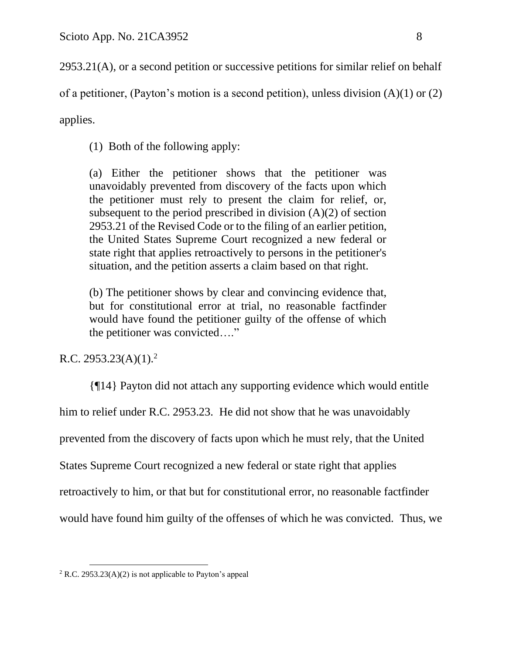2953.21(A), or a second petition or successive petitions for similar relief on behalf

of a petitioner, (Payton's motion is a second petition), unless division (A)(1) or (2)

applies.

(1) Both of the following apply:

(a) Either the petitioner shows that the petitioner was unavoidably prevented from discovery of the facts upon which the petitioner must rely to present the claim for relief, or, subsequent to the period prescribed in division  $(A)(2)$  of section 2953.21 of the Revised Code or to the filing of an earlier petition, the United States Supreme Court recognized a new federal or state right that applies retroactively to persons in the petitioner's situation, and the petition asserts a claim based on that right.

(b) The petitioner shows by clear and convincing evidence that, but for constitutional error at trial, no reasonable factfinder would have found the petitioner guilty of the offense of which the petitioner was convicted…."

# R.C. 2953.23(A)(1).<sup>2</sup>

{¶14} Payton did not attach any supporting evidence which would entitle him to relief under R.C. 2953.23. He did not show that he was unavoidably prevented from the discovery of facts upon which he must rely, that the United States Supreme Court recognized a new federal or state right that applies retroactively to him, or that but for constitutional error, no reasonable factfinder would have found him guilty of the offenses of which he was convicted. Thus, we

 $2$  R.C. 2953.23(A)(2) is not applicable to Payton's appeal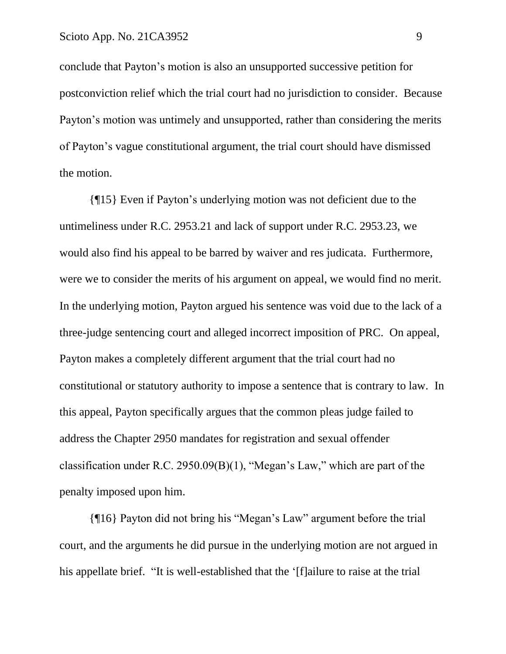conclude that Payton's motion is also an unsupported successive petition for postconviction relief which the trial court had no jurisdiction to consider. Because Payton's motion was untimely and unsupported, rather than considering the merits of Payton's vague constitutional argument, the trial court should have dismissed the motion.

{¶15} Even if Payton's underlying motion was not deficient due to the untimeliness under R.C. 2953.21 and lack of support under R.C. 2953.23, we would also find his appeal to be barred by waiver and res judicata. Furthermore, were we to consider the merits of his argument on appeal, we would find no merit. In the underlying motion, Payton argued his sentence was void due to the lack of a three-judge sentencing court and alleged incorrect imposition of PRC. On appeal, Payton makes a completely different argument that the trial court had no constitutional or statutory authority to impose a sentence that is contrary to law. In this appeal, Payton specifically argues that the common pleas judge failed to address the Chapter 2950 mandates for registration and sexual offender classification under R.C. 2950.09(B)(1), "Megan's Law," which are part of the penalty imposed upon him.

{¶16} Payton did not bring his "Megan's Law" argument before the trial court, and the arguments he did pursue in the underlying motion are not argued in his appellate brief. "It is well-established that the '[f]ailure to raise at the trial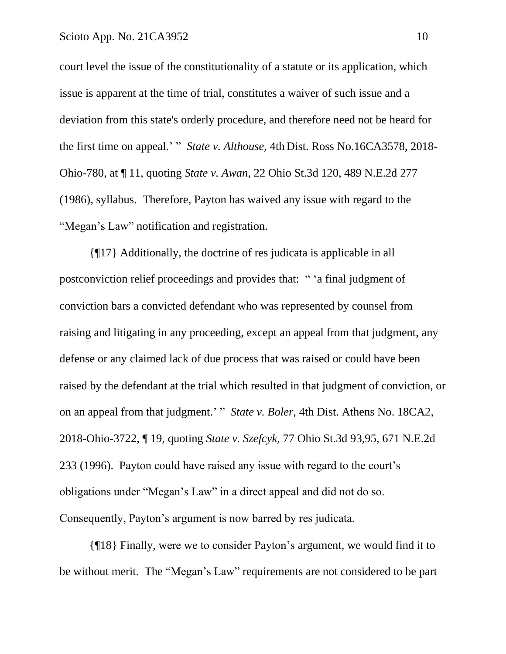court level the issue of the constitutionality of a statute or its application, which issue is apparent at the time of trial, constitutes a waiver of such issue and a deviation from this state's orderly procedure, and therefore need not be heard for the first time on appeal.' " *State v. Althouse,* 4th Dist. Ross No.16CA3578, 2018- Ohio-780, at ¶ 11, quoting *State v. Awan,* 22 Ohio St.3d 120, 489 N.E.2d 277 (1986), syllabus. Therefore, Payton has waived any issue with regard to the "Megan's Law" notification and registration.

{¶17} Additionally, the doctrine of res judicata is applicable in all postconviction relief proceedings and provides that: " 'a final judgment of conviction bars a convicted defendant who was represented by counsel from raising and litigating in any proceeding, except an appeal from that judgment, any defense or any claimed lack of due process that was raised or could have been raised by the defendant at the trial which resulted in that judgment of conviction, or on an appeal from that judgment.' " *State v. Boler,* 4th Dist. Athens No. 18CA2, 2018-Ohio-3722, ¶ 19, quoting *State v. Szefcyk,* 77 Ohio St.3d 93,95, 671 N.E.2d 233 (1996). Payton could have raised any issue with regard to the court's obligations under "Megan's Law" in a direct appeal and did not do so. Consequently, Payton's argument is now barred by res judicata.

{¶18} Finally, were we to consider Payton's argument, we would find it to be without merit. The "Megan's Law" requirements are not considered to be part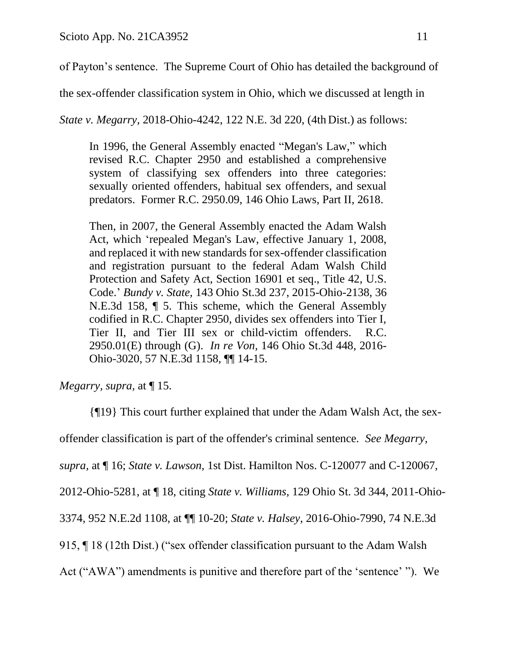of Payton's sentence. The Supreme Court of Ohio has detailed the background of

the sex-offender classification system in Ohio, which we discussed at length in

*State v. Megarry,* 2018-Ohio-4242, 122 N.E. 3d 220, (4th Dist.) as follows:

In 1996, the General Assembly enacted "Megan's Law," which revised R.C. Chapter 2950 and established a comprehensive system of classifying sex offenders into three categories: sexually oriented offenders, habitual sex offenders, and sexual predators. Former R.C. 2950.09, 146 Ohio Laws, Part II, 2618.

Then, in 2007, the General Assembly enacted the Adam Walsh Act, which 'repealed Megan's Law, effective January 1, 2008, and replaced it with new standards for sex-offender classification and registration pursuant to the federal Adam Walsh Child Protection and Safety Act, Section 16901 et seq., Title 42, U.S. Code.' *Bundy v. State,* 143 Ohio St.3d 237, 2015-Ohio-2138, 36 N.E.3d 158, ¶ 5. This scheme, which the General Assembly codified in R.C. Chapter 2950, divides sex offenders into Tier I, Tier II, and Tier III sex or child-victim offenders. R.C. 2950.01(E) through (G). *In re Von,* 146 Ohio St.3d 448, 2016- Ohio-3020, 57 N.E.3d 1158, ¶¶ 14-15.

*Megarry, supra,* at ¶ 15.

{¶19} This court further explained that under the Adam Walsh Act, the sexoffender classification is part of the offender's criminal sentence. *See Megarry, supra,* at ¶ 16; *State v. Lawson,* 1st Dist. Hamilton Nos. C-120077 and C-120067, 2012-Ohio-5281, at ¶ 18, citing *State v. Williams*, 129 Ohio St. 3d 344, 2011-Ohio-3374, 952 N.E.2d 1108, at ¶¶ 10-20; *State v. Halsey*, 2016-Ohio-7990, 74 N.E.3d 915, ¶ 18 (12th Dist.) ("sex offender classification pursuant to the Adam Walsh Act ("AWA") amendments is punitive and therefore part of the 'sentence' "). We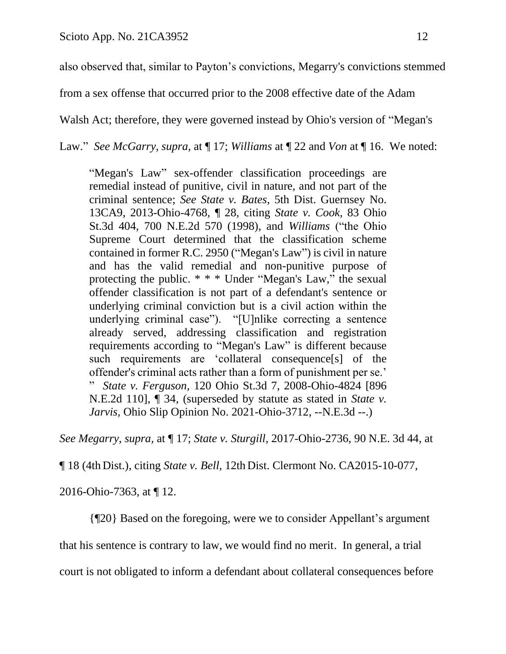also observed that, similar to Payton's convictions, Megarry's convictions stemmed

from a sex offense that occurred prior to the 2008 effective date of the Adam

Walsh Act; therefore, they were governed instead by Ohio's version of "Megan's

Law." *See McGarry, supra,* at ¶ 17; *Williams* at ¶ 22 and *Von* at ¶ 16. We noted:

"Megan's Law" sex-offender classification proceedings are remedial instead of punitive, civil in nature, and not part of the criminal sentence; *See State v. Bates,* 5th Dist. Guernsey No. 13CA9, 2013-Ohio-4768, ¶ 28, citing *State v. Cook,* 83 Ohio St.3d 404, 700 N.E.2d 570 (1998), and *Williams* ("the Ohio Supreme Court determined that the classification scheme contained in former R.C. 2950 ("Megan's Law") is civil in nature and has the valid remedial and non-punitive purpose of protecting the public. \* \* \* Under "Megan's Law," the sexual offender classification is not part of a defendant's sentence or underlying criminal conviction but is a civil action within the underlying criminal case"). "[U]nlike correcting a sentence already served, addressing classification and registration requirements according to "Megan's Law" is different because such requirements are 'collateral consequence[s] of the offender's criminal acts rather than a form of punishment per se.' " *State v. Ferguson,* 120 Ohio St.3d 7, 2008-Ohio-4824 [896 N.E.2d 110], ¶ 34, (superseded by statute as stated in *State v. Jarvis,* Ohio Slip Opinion No. 2021-Ohio-3712, --N.E.3d --.)

*See Megarry, supra,* at ¶ 17; *State v. Sturgill,* 2017-Ohio-2736, 90 N.E. 3d 44, at

¶ 18 (4th Dist.), citing *State v. Bell,* 12th Dist. Clermont No. CA2015-10-077,

2016-Ohio-7363, at ¶ 12.

{¶20} Based on the foregoing, were we to consider Appellant's argument

that his sentence is contrary to law, we would find no merit. In general, a trial

court is not obligated to inform a defendant about collateral consequences before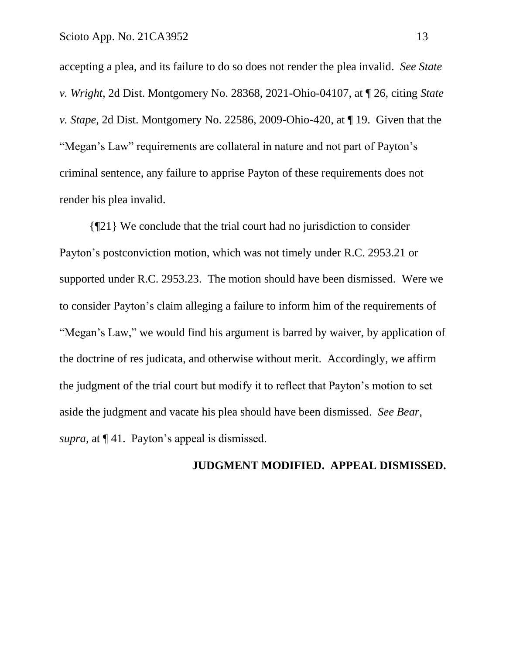accepting a plea, and its failure to do so does not render the plea invalid. *See State v. Wright,* 2d Dist. Montgomery No. 28368, 2021-Ohio-04107, at ¶ 26, citing *State v. Stape,* 2d Dist. Montgomery No. 22586, 2009-Ohio-420, at ¶ 19. Given that the "Megan's Law" requirements are collateral in nature and not part of Payton's criminal sentence, any failure to apprise Payton of these requirements does not render his plea invalid.

{¶21} We conclude that the trial court had no jurisdiction to consider Payton's postconviction motion, which was not timely under R.C. 2953.21 or supported under R.C. 2953.23. The motion should have been dismissed. Were we to consider Payton's claim alleging a failure to inform him of the requirements of "Megan's Law," we would find his argument is barred by waiver, by application of the doctrine of res judicata, and otherwise without merit. Accordingly, we affirm the judgment of the trial court but modify it to reflect that Payton's motion to set aside the judgment and vacate his plea should have been dismissed. *See Bear, supra,* at ¶ 41. Payton's appeal is dismissed.

#### **JUDGMENT MODIFIED. APPEAL DISMISSED.**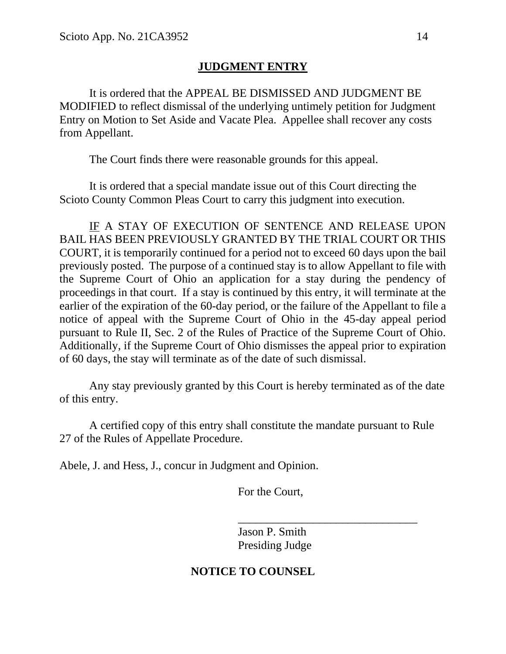## **JUDGMENT ENTRY**

It is ordered that the APPEAL BE DISMISSED AND JUDGMENT BE MODIFIED to reflect dismissal of the underlying untimely petition for Judgment Entry on Motion to Set Aside and Vacate Plea. Appellee shall recover any costs from Appellant.

The Court finds there were reasonable grounds for this appeal.

It is ordered that a special mandate issue out of this Court directing the Scioto County Common Pleas Court to carry this judgment into execution.

IF A STAY OF EXECUTION OF SENTENCE AND RELEASE UPON BAIL HAS BEEN PREVIOUSLY GRANTED BY THE TRIAL COURT OR THIS COURT, it is temporarily continued for a period not to exceed 60 days upon the bail previously posted. The purpose of a continued stay is to allow Appellant to file with the Supreme Court of Ohio an application for a stay during the pendency of proceedings in that court. If a stay is continued by this entry, it will terminate at the earlier of the expiration of the 60-day period, or the failure of the Appellant to file a notice of appeal with the Supreme Court of Ohio in the 45-day appeal period pursuant to Rule II, Sec. 2 of the Rules of Practice of the Supreme Court of Ohio. Additionally, if the Supreme Court of Ohio dismisses the appeal prior to expiration of 60 days, the stay will terminate as of the date of such dismissal.

Any stay previously granted by this Court is hereby terminated as of the date of this entry.

A certified copy of this entry shall constitute the mandate pursuant to Rule 27 of the Rules of Appellate Procedure.

Abele, J. and Hess, J., concur in Judgment and Opinion.

For the Court,

Jason P. Smith Presiding Judge

\_\_\_\_\_\_\_\_\_\_\_\_\_\_\_\_\_\_\_\_\_\_\_\_\_\_\_\_\_\_\_

## **NOTICE TO COUNSEL**